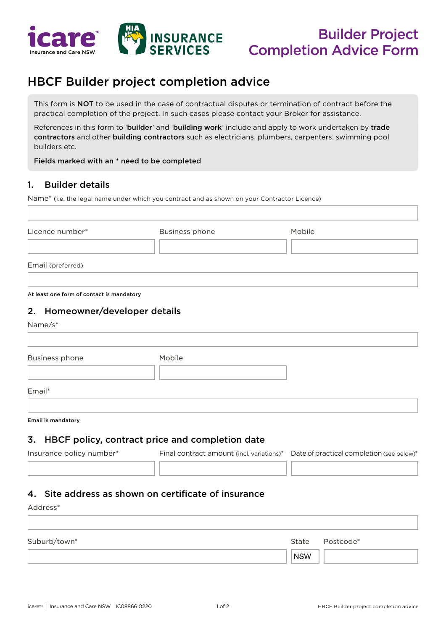

# HBCF Builder project completion advice

This form is NOT to be used in the case of contractual disputes or termination of contract before the practical completion of the project. In such cases please contact your Broker for assistance.

References in this form to 'builder' and 'building work' include and apply to work undertaken by trade contractors and other building contractors such as electricians, plumbers, carpenters, swimming pool builders etc.

Fields marked with an \* need to be completed

#### 1. Builder details

Name\* (i.e. the legal name under which you contract and as shown on your Contractor Licence)

| Licence number*   | <b>Business phone</b> | Mobile |
|-------------------|-----------------------|--------|
|                   |                       |        |
| Email (preferred) |                       |        |

At least one form of contact is mandatory

#### 2. Homeowner/developer details

Name/s\*

| Business phone | Mobile |  |
|----------------|--------|--|
|                |        |  |
| Email*         |        |  |
|                |        |  |

Email is mandatory

#### 3. HBCF policy, contract price and completion date

| Insurance policy number* | Final contract amount (incl. variations)* Date of practical completion (see below)* |
|--------------------------|-------------------------------------------------------------------------------------|
|                          |                                                                                     |

## 4. Site address as shown on certificate of insurance

| Address*     |                 |
|--------------|-----------------|
|              |                 |
| Suburb/town* | State Postcode* |
|              | NSW             |